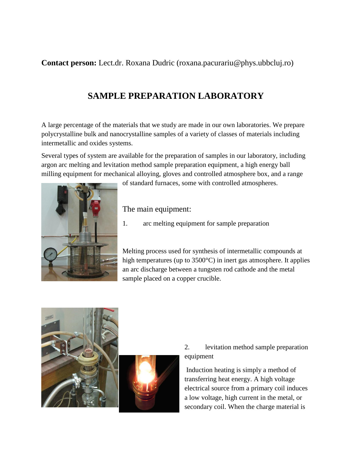**Contact person:** Lect.dr. Roxana Dudric (roxana.pacurariu@phys.ubbcluj.ro)

## **SAMPLE PREPARATION LABORATORY**

A large percentage of the materials that we study are made in our own laboratories. We prepare polycrystalline bulk and nanocrystalline samples of a variety of classes of materials including intermetallic and oxides systems.

Several types of system are available for the preparation of samples in our laboratory, including argon arc melting and levitation method sample preparation equipment, a high energy ball milling equipment for mechanical alloying, gloves and controlled atmosphere box, and a range



of standard furnaces, some with controlled atmospheres.

The main equipment:

1. arc melting equipment for sample preparation

Melting process used for synthesis of intermetallic compounds at high temperatures (up to 3500°C) in inert gas atmosphere. It applies an arc discharge between a tungsten rod cathode and the metal sample placed on a copper crucible.





## 2. levitation method sample preparation equipment

Induction heating is simply a method of transferring heat energy. A high voltage electrical source from a primary coil induces a low voltage, high current in the metal, or secondary coil. When the charge material is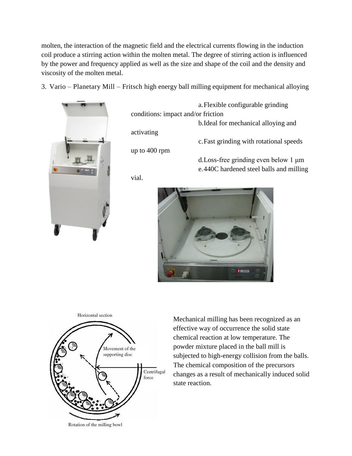molten, the interaction of the magnetic field and the electrical currents flowing in the induction coil produce a stirring action within the molten metal. The degree of stirring action is influenced by the power and frequency applied as well as the size and shape of the coil and the density and viscosity of the molten metal.

3. Vario – Planetary Mill – Fritsch high energy ball milling equipment for mechanical alloying



a.Flexible configurable grinding conditions: impact and/or friction b.Ideal for mechanical alloying and activating c.Fast grinding with rotational speeds up to 400 rpm d.Loss-free grinding even below 1 μm e.440C hardened steel balls and milling vial.





Mechanical milling has been recognized as an effective way of occurrence the solid state chemical reaction at low temperature. The powder mixture placed in the ball mill is subjected to high-energy collision from the balls. The chemical composition of the precursors changes as a result of mechanically induced solid state reaction.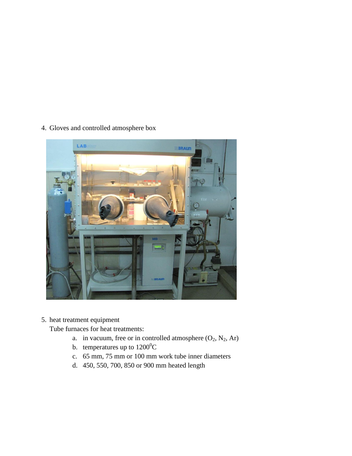4. Gloves and controlled atmosphere box



5. heat treatment equipment

Tube furnaces for heat treatments:

- a. in vacuum, free or in controlled atmosphere  $(O_2, N_2, Ar)$
- b. temperatures up to  $1200^0C$
- c. 65 mm, 75 mm or 100 mm work tube inner diameters
- d. 450, 550, 700, 850 or 900 mm heated length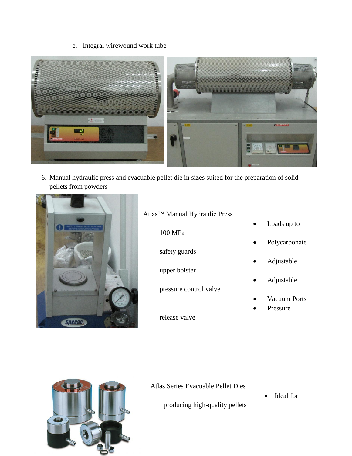e. Integral wirewound work tube



6. Manual hydraulic press and evacuable pellet die in sizes suited for the preparation of solid pellets from powders



## Atlas™ Manual Hydraulic Press

100 MPa

safety guards

upper bolster

pressure control valve

release valve

- Loads up to
- Polycarbonate
- Adjustable
- Adjustable
- Vacuum Ports
- Pressure



Atlas Series Evacuable Pellet Dies

producing high-quality pellets

• Ideal for